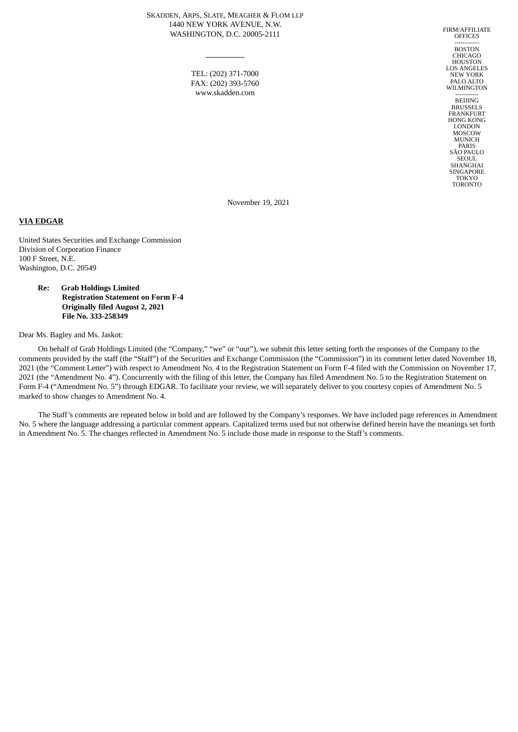SKADDEN, ARPS, SLATE, MEAGHER & FLOM LLP 1440 NEW YORK AVENUE, N.W. WASHINGTON, D.C. 20005-2111

> TEL: (202) 371-7000 FAX: (202) 393-5760 www.skadden.com

FIRM/AFFILIATE **OFFICES** -----------<br>BOSTON CHICAGO HOUSTON LOS ANGELES NEW YORK PALO ALTO WILMINGTON ----------<br>BEIJING BRUSSELS FRANKFURT HONG KONG LONDON **MOSCOW** MUNICH PARIS SÃO PAULO **SEOUL** SHANGHAI **SINGAPORE** TOKYO TORONTO

November 19, 2021

#### **VIA EDGAR**

United States Securities and Exchange Commission Division of Corporation Finance 100 F Street, N.E. Washington, D.C. 20549

> **Re: Grab Holdings Limited Registration Statement on Form F-4 Originally filed August 2, 2021 File No. 333-258349**

Dear Ms. Bagley and Ms. Jaskot:

On behalf of Grab Holdings Limited (the "Company," "we" or "our"), we submit this letter setting forth the responses of the Company to the comments provided by the staff (the "Staff") of the Securities and Exchange Commission (the "Commission") in its comment letter dated November 18, 2021 (the "Comment Letter") with respect to Amendment No. 4 to the Registration Statement on Form F-4 filed with the Commission on November 17, 2021 (the "Amendment No. 4"). Concurrently with the filing of this letter, the Company has filed Amendment No. 5 to the Registration Statement on Form F-4 ("Amendment No. 5") through EDGAR. To facilitate your review, we will separately deliver to you courtesy copies of Amendment No. 5 marked to show changes to Amendment No. 4.

The Staff's comments are repeated below in bold and are followed by the Company's responses. We have included page references in Amendment No. 5 where the language addressing a particular comment appears. Capitalized terms used but not otherwise defined herein have the meanings set forth in Amendment No. 5. The changes reflected in Amendment No. 5 include those made in response to the Staff's comments.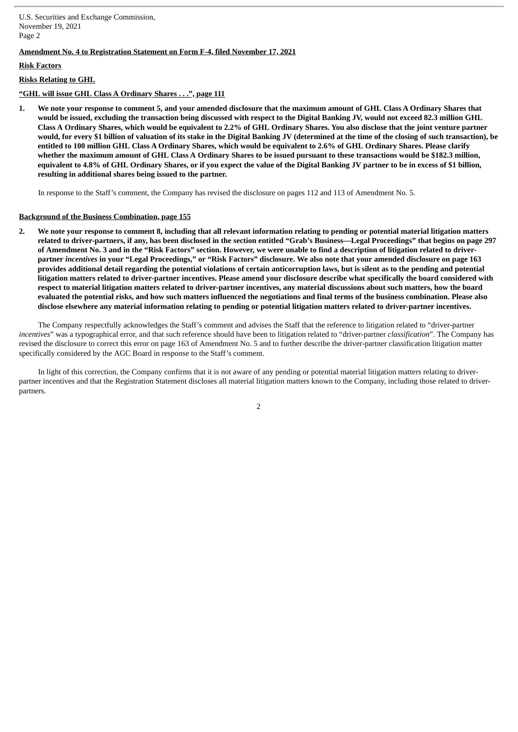U.S. Securities and Exchange Commission, November 19, 2021 Page 2

## **Amendment No. 4 to Registration Statement on Form F-4, filed November 17, 2021**

## **Risk Factors**

### **Risks Relating to GHL**

### **"GHL will issue GHL Class A Ordinary Shares . . .", page 111**

1. We note your response to comment 5, and your amended disclosure that the maximum amount of GHL Class A Ordinary Shares that would be issued, excluding the transaction being discussed with respect to the Digital Banking JV, would not exceed 82.3 million GHL Class A Ordinary Shares, which would be equivalent to 2.2% of GHL Ordinary Shares. You also disclose that the joint venture partner would, for every \$1 billion of valuation of its stake in the Digital Banking JV (determined at the time of the closing of such transaction), be entitled to 100 million GHL Class A Ordinary Shares, which would be equivalent to 2.6% of GHL Ordinary Shares. Please clarify whether the maximum amount of GHL Class A Ordinary Shares to be issued pursuant to these transactions would be \$182.3 million, equivalent to 4.8% of GHL Ordinary Shares, or if you expect the value of the Digital Banking JV partner to be in excess of \$1 billion, **resulting in additional shares being issued to the partner.**

In response to the Staff's comment, the Company has revised the disclosure on pages 112 and 113 of Amendment No. 5.

#### **Background of the Business Combination, page 155**

2. We note your response to comment 8, including that all relevant information relating to pending or potential material litigation matters related to driver-partners, if any, has been disclosed in the section entitled "Grab's Business—Legal Proceedings" that begins on page 297 of Amendment No. 3 and in the "Risk Factors" section. However, we were unable to find a description of litigation related to driverpartner incentives in your "Legal Proceedings," or "Risk Factors" disclosure. We also note that your amended disclosure on page 163 provides additional detail regarding the potential violations of certain anticorruption laws, but is silent as to the pending and potential litigation matters related to driver-partner incentives. Please amend your disclosure describe what specifically the board considered with respect to material litigation matters related to driver-partner incentives, any material discussions about such matters, how the board evaluated the potential risks, and how such matters influenced the negotiations and final terms of the business combination. Please also disclose elsewhere any material information relating to pending or potential litigation matters related to driver-partner incentives.

The Company respectfully acknowledges the Staff's comment and advises the Staff that the reference to litigation related to "driver-partner *incentives*" was a typographical error, and that such reference should have been to litigation related to "driver-partner *classification*". The Company has revised the disclosure to correct this error on page 163 of Amendment No. 5 and to further describe the driver-partner classification litigation matter specifically considered by the AGC Board in response to the Staff's comment.

In light of this correction, the Company confirms that it is not aware of any pending or potential material litigation matters relating to driverpartner incentives and that the Registration Statement discloses all material litigation matters known to the Company, including those related to driverpartners.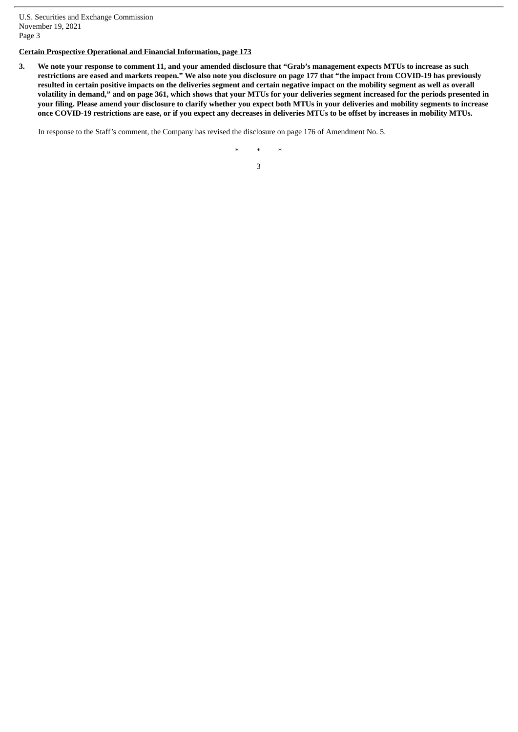U.S. Securities and Exchange Commission November 19, 2021 Page 3

# **Certain Prospective Operational and Financial Information, page 173**

3. We note your response to comment 11, and your amended disclosure that "Grab's management expects MTUs to increase as such restrictions are eased and markets reopen." We also note you disclosure on page 177 that "the impact from COVID-19 has previously resulted in certain positive impacts on the deliveries segment and certain negative impact on the mobility segment as well as overall volatility in demand," and on page 361, which shows that your MTUs for your deliveries segment increased for the periods presented in your filing. Please amend your disclosure to clarify whether you expect both MTUs in your deliveries and mobility segments to increase once COVID-19 restrictions are ease, or if you expect any decreases in deliveries MTUs to be offset by increases in mobility MTUs.

In response to the Staff's comment, the Company has revised the disclosure on page 176 of Amendment No. 5.

\* \* \*

3